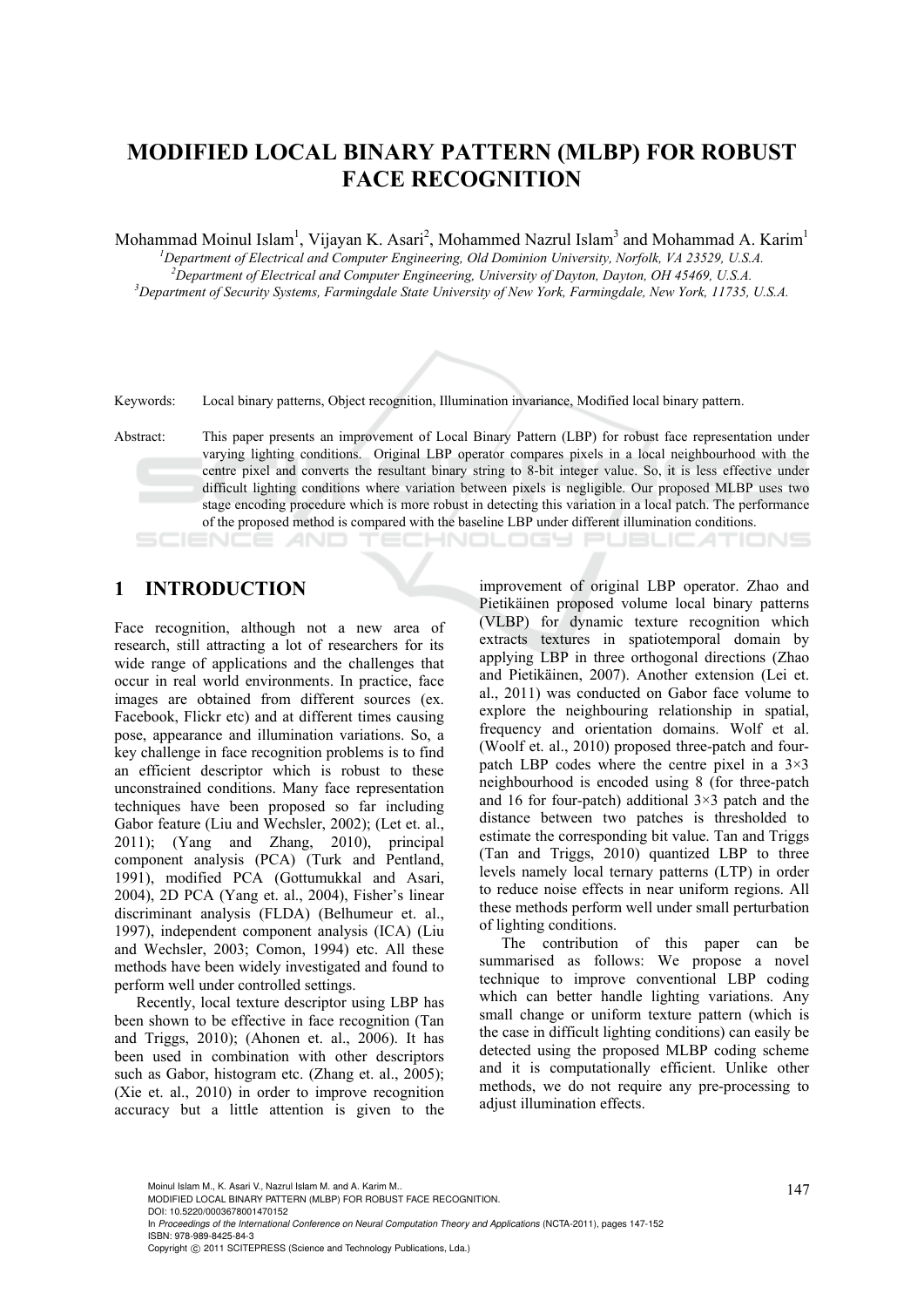# **MODIFIED LOCAL BINARY PATTERN (MLBP) FOR ROBUST FACE RECOGNITION**

Mohammad Moinul Islam<sup>1</sup>, Vijayan K. Asari<sup>2</sup>, Mohammed Nazrul Islam<sup>3</sup> and Mohammad A. Karim<sup>1</sup>

*1 Department of Electrical and Computer Engineering, Old Dominion University, Norfolk, VA 23529, U.S.A.* 

<sup>2</sup> Department of Electrical and Computer Engineering, University of Dayton, Dayton, OH 45469, U.S.A. <sup>3</sup> Department of Sequity Systems, Equipment of Naw York, Tamming dela, Naw York, 11725 <sup>3</sup>Department of Security Systems, Farmingdale State University of New York, Farmingdale, New York, 11735, U.S.A.



Keywords: Local binary patterns, Object recognition, Illumination invariance, Modified local binary pattern.

Abstract: This paper presents an improvement of Local Binary Pattern (LBP) for robust face representation under varying lighting conditions. Original LBP operator compares pixels in a local neighbourhood with the centre pixel and converts the resultant binary string to 8-bit integer value. So, it is less effective under difficult lighting conditions where variation between pixels is negligible. Our proposed MLBP uses two stage encoding procedure which is more robust in detecting this variation in a local patch. The performance of the proposed method is compared with the baseline LBP under different illumination conditions. ECHNOLOGY PUBLIC ATIONS

## **1 INTRODUCTION**

Face recognition, although not a new area of research, still attracting a lot of researchers for its wide range of applications and the challenges that occur in real world environments. In practice, face images are obtained from different sources (ex. Facebook, Flickr etc) and at different times causing pose, appearance and illumination variations. So, a key challenge in face recognition problems is to find an efficient descriptor which is robust to these unconstrained conditions. Many face representation techniques have been proposed so far including Gabor feature (Liu and Wechsler, 2002); (Let et. al., 2011); (Yang and Zhang, 2010), principal component analysis (PCA) (Turk and Pentland, 1991), modified PCA (Gottumukkal and Asari, 2004), 2D PCA (Yang et. al., 2004), Fisher's linear discriminant analysis (FLDA) (Belhumeur et. al., 1997), independent component analysis (ICA) (Liu and Wechsler, 2003; Comon, 1994) etc. All these methods have been widely investigated and found to perform well under controlled settings.

Recently, local texture descriptor using LBP has been shown to be effective in face recognition (Tan and Triggs, 2010); (Ahonen et. al., 2006). It has been used in combination with other descriptors such as Gabor, histogram etc. (Zhang et. al., 2005); (Xie et. al., 2010) in order to improve recognition accuracy but a little attention is given to the

improvement of original LBP operator. Zhao and Pietikäinen proposed volume local binary patterns (VLBP) for dynamic texture recognition which extracts textures in spatiotemporal domain by applying LBP in three orthogonal directions (Zhao and Pietikäinen, 2007). Another extension (Lei et. al., 2011) was conducted on Gabor face volume to explore the neighbouring relationship in spatial, frequency and orientation domains. Wolf et al. (Woolf et. al., 2010) proposed three-patch and fourpatch LBP codes where the centre pixel in a 3×3 neighbourhood is encoded using 8 (for three-patch and 16 for four-patch) additional  $3\times3$  patch and the distance between two patches is thresholded to estimate the corresponding bit value. Tan and Triggs (Tan and Triggs, 2010) quantized LBP to three levels namely local ternary patterns (LTP) in order to reduce noise effects in near uniform regions. All these methods perform well under small perturbation of lighting conditions.

The contribution of this paper can be summarised as follows: We propose a novel technique to improve conventional LBP coding which can better handle lighting variations. Any small change or uniform texture pattern (which is the case in difficult lighting conditions) can easily be detected using the proposed MLBP coding scheme and it is computationally efficient. Unlike other methods, we do not require any pre-processing to adjust illumination effects.

Moinul Islam M., K. Asari V., Nazrul Islam M. and A. Karim M..<br>MODIFIED LOCAL BINARY PATTERN (MLBP) FOR ROBUST FACE RECOGNITION.

DOI: 10.5220/0003678001470152

In *Proceedings of the International Conference on Neural Computation Theory and Applications* (NCTA-2011), pages 147-152 ISBN: 978-989-8425-84-3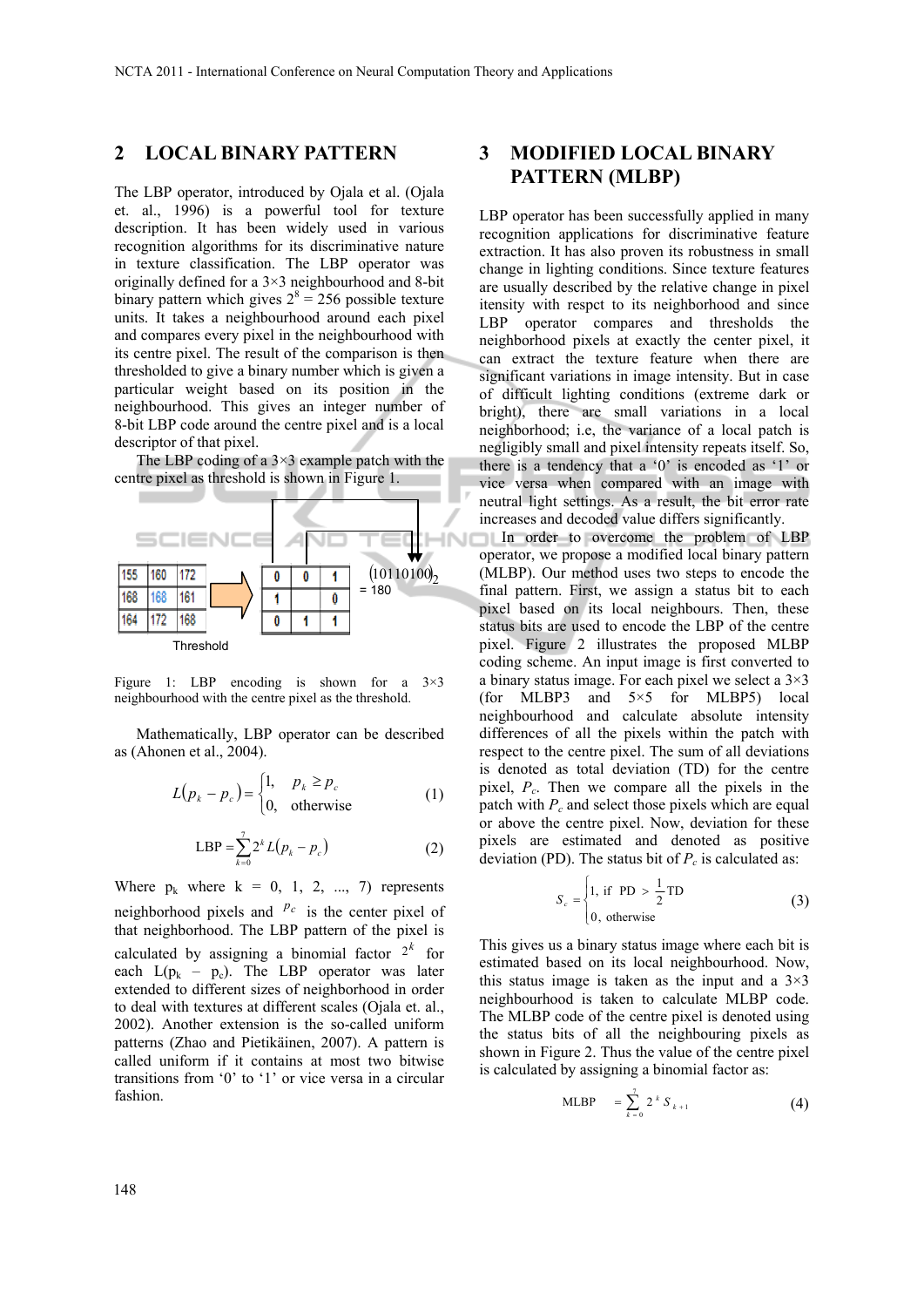### **2 LOCAL BINARY PATTERN**

The LBP operator, introduced by Ojala et al. (Ojala et. al., 1996) is a powerful tool for texture description. It has been widely used in various recognition algorithms for its discriminative nature in texture classification. The LBP operator was originally defined for a 3×3 neighbourhood and 8-bit binary pattern which gives  $2^8 = 256$  possible texture units. It takes a neighbourhood around each pixel and compares every pixel in the neighbourhood with its centre pixel. The result of the comparison is then thresholded to give a binary number which is given a particular weight based on its position in the neighbourhood. This gives an integer number of 8-bit LBP code around the centre pixel and is a local descriptor of that pixel.

The LBP coding of a  $3\times3$  example patch with the centre pixel as threshold is shown in Figure 1.



Figure 1: LBP encoding is shown for a  $3\times3$ neighbourhood with the centre pixel as the threshold.

Mathematically, LBP operator can be described as (Ahonen et al., 2004).

$$
L(p_k - p_c) = \begin{cases} 1, & p_k \ge p_c \\ 0, & \text{otherwise} \end{cases}
$$
 (1)

$$
LBP = \sum_{k=0}^{7} 2^{k} L(p_{k} - p_{c})
$$
 (2)

Where  $p_k$  where  $k = 0, 1, 2, ..., 7$  represents neighborhood pixels and  $P_c$  is the center pixel of that neighborhood. The LBP pattern of the pixel is calculated by assigning a binomial factor  $2^k$  for each  $L(p_k - p_c)$ . The LBP operator was later extended to different sizes of neighborhood in order to deal with textures at different scales (Ojala et. al., 2002). Another extension is the so-called uniform patterns (Zhao and Pietikäinen, 2007). A pattern is called uniform if it contains at most two bitwise transitions from '0' to '1' or vice versa in a circular fashion.

# **3 MODIFIED LOCAL BINARY PATTERN (MLBP)**

LBP operator has been successfully applied in many recognition applications for discriminative feature extraction. It has also proven its robustness in small change in lighting conditions. Since texture features are usually described by the relative change in pixel itensity with respct to its neighborhood and since LBP operator compares and thresholds the neighborhood pixels at exactly the center pixel, it can extract the texture feature when there are significant variations in image intensity. But in case of difficult lighting conditions (extreme dark or bright), there are small variations in a local neighborhood; i.e, the variance of a local patch is negligibly small and pixel intensity repeats itself. So, there is a tendency that a '0' is encoded as '1' or vice versa when compared with an image with neutral light settings. As a result, the bit error rate increases and decoded value differs significantly.

In order to overcome the problem of LBP operator, we propose a modified local binary pattern (MLBP). Our method uses two steps to encode the final pattern. First, we assign a status bit to each pixel based on its local neighbours. Then, these status bits are used to encode the LBP of the centre pixel. Figure 2 illustrates the proposed MLBP coding scheme. An input image is first converted to a binary status image. For each pixel we select a 3×3 (for MLBP3 and 5×5 for MLBP5) local neighbourhood and calculate absolute intensity differences of all the pixels within the patch with respect to the centre pixel. The sum of all deviations is denoted as total deviation (TD) for the centre pixel, *Pc*. Then we compare all the pixels in the patch with  $P_c$  and select those pixels which are equal or above the centre pixel. Now, deviation for these pixels are estimated and denoted as positive deviation (PD). The status bit of  $P_c$  is calculated as:

$$
S_c = \begin{cases} 1, & \text{if } \text{PD} > \frac{1}{2} \text{TD} \\ 0, & \text{otherwise} \end{cases}
$$
 (3)

This gives us a binary status image where each bit is estimated based on its local neighbourhood. Now, this status image is taken as the input and a  $3\times3$ neighbourhood is taken to calculate MLBP code. The MLBP code of the centre pixel is denoted using the status bits of all the neighbouring pixels as shown in Figure 2. Thus the value of the centre pixel is calculated by assigning a binomial factor as:

MLBP = 
$$
\sum_{k=0}^{7} 2^{k} S_{k+1}
$$
 (4)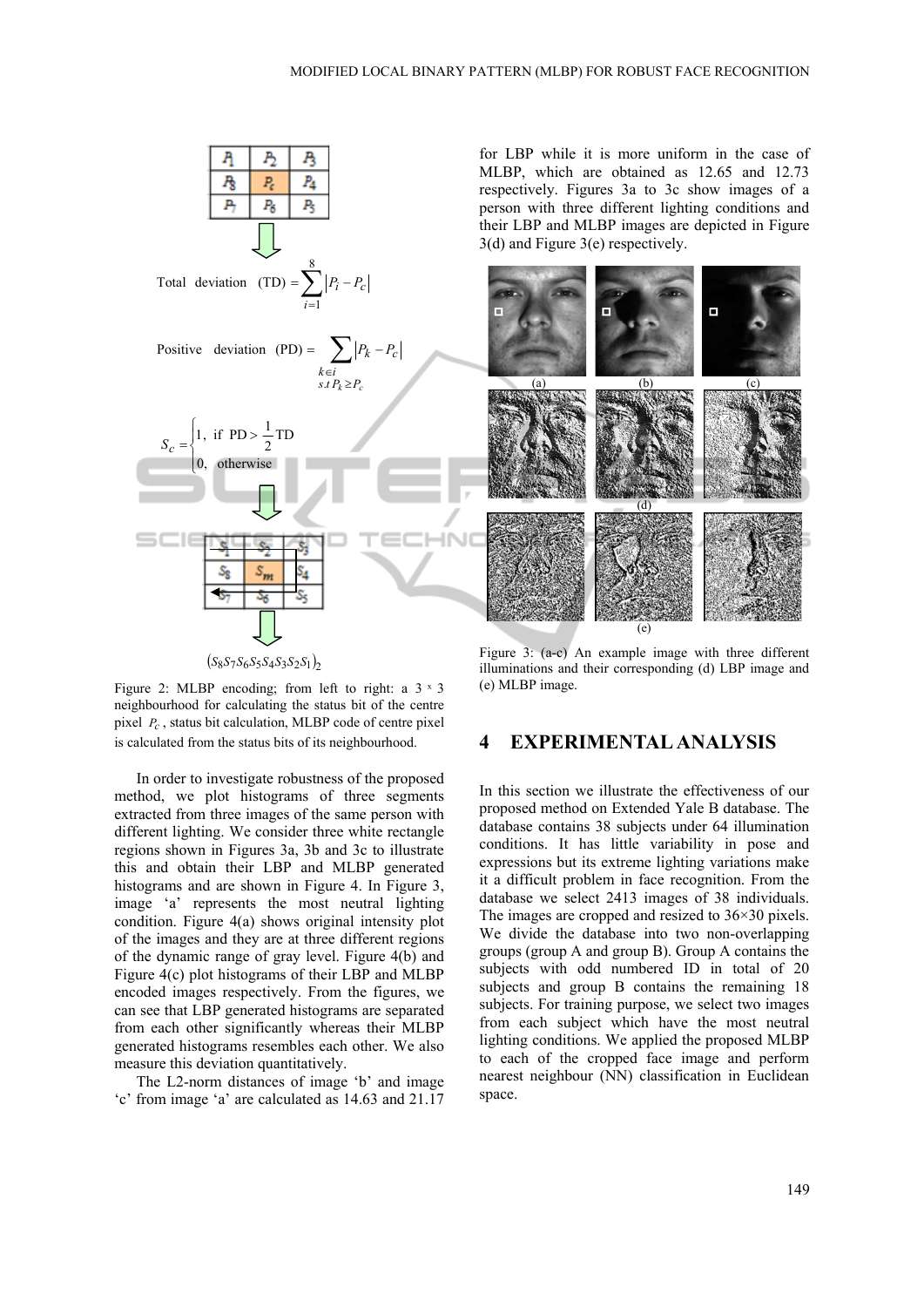

 $(S_8 S_7 S_6 S_5 S_4 S_3 S_2 S_1)$ 

Figure 2: MLBP encoding; from left to right: a  $3 \times 3$ neighbourhood for calculating the status bit of the centre pixel *Pc* , status bit calculation, MLBP code of centre pixel is calculated from the status bits of its neighbourhood.

In order to investigate robustness of the proposed method, we plot histograms of three segments extracted from three images of the same person with different lighting. We consider three white rectangle regions shown in Figures 3a, 3b and 3c to illustrate this and obtain their LBP and MLBP generated histograms and are shown in Figure 4. In Figure 3, image 'a' represents the most neutral lighting condition. Figure 4(a) shows original intensity plot of the images and they are at three different regions of the dynamic range of gray level. Figure 4(b) and Figure 4(c) plot histograms of their LBP and MLBP encoded images respectively. From the figures, we can see that LBP generated histograms are separated from each other significantly whereas their MLBP generated histograms resembles each other. We also measure this deviation quantitatively.

The L2-norm distances of image 'b' and image 'c' from image 'a' are calculated as 14.63 and 21.17

for LBP while it is more uniform in the case of MLBP, which are obtained as 12.65 and 12.73 respectively. Figures 3a to 3c show images of a person with three different lighting conditions and their LBP and MLBP images are depicted in Figure 3(d) and Figure 3(e) respectively.



Figure 3: (a-c) An example image with three different illuminations and their corresponding (d) LBP image and (e) MLBP image.

### **4 EXPERIMENTAL ANALYSIS**

In this section we illustrate the effectiveness of our proposed method on Extended Yale B database. The database contains 38 subjects under 64 illumination conditions. It has little variability in pose and expressions but its extreme lighting variations make it a difficult problem in face recognition. From the database we select 2413 images of 38 individuals. The images are cropped and resized to 36×30 pixels. We divide the database into two non-overlapping groups (group A and group B). Group A contains the subjects with odd numbered ID in total of 20 subjects and group B contains the remaining 18 subjects. For training purpose, we select two images from each subject which have the most neutral lighting conditions. We applied the proposed MLBP to each of the cropped face image and perform nearest neighbour (NN) classification in Euclidean space.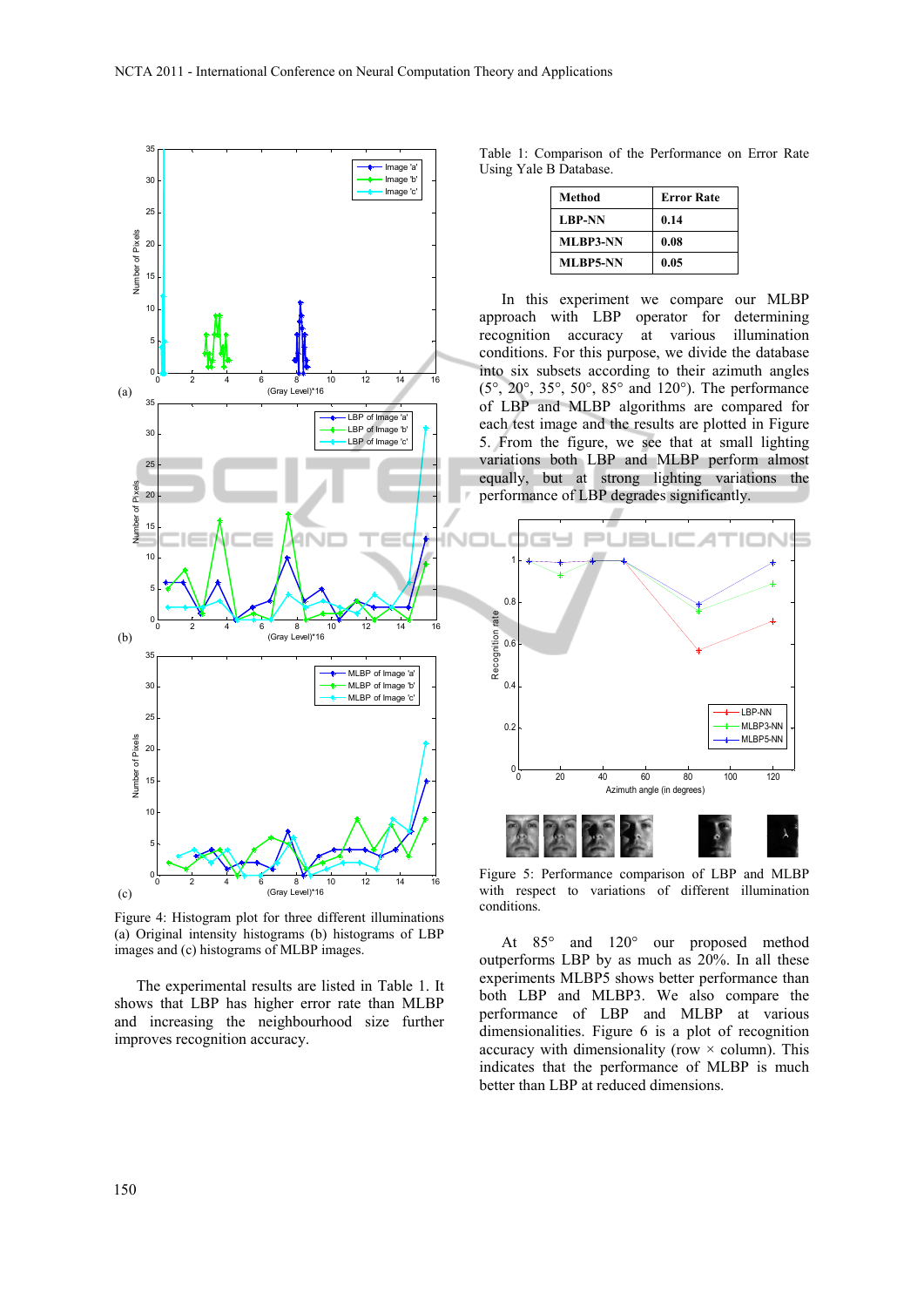

Figure 4: Histogram plot for three different illuminations (a) Original intensity histograms (b) histograms of LBP images and (c) histograms of MLBP images.

The experimental results are listed in Table 1. It shows that LBP has higher error rate than MLBP and increasing the neighbourhood size further improves recognition accuracy.

Table 1: Comparison of the Performance on Error Rate Using Yale B Database.

| Method          | <b>Error Rate</b> |
|-----------------|-------------------|
| <b>LBP-NN</b>   | 0.14              |
| <b>MLBP3-NN</b> | 0.08              |
| <b>MLBP5-NN</b> | 0.05              |

In this experiment we compare our MLBP approach with LBP operator for determining recognition accuracy at various illumination conditions. For this purpose, we divide the database into six subsets according to their azimuth angles (5°, 20°, 35°, 50°, 85° and 120°). The performance of LBP and MLBP algorithms are compared for each test image and the results are plotted in Figure 5. From the figure, we see that at small lighting variations both LBP and MLBP perform almost equally, but at strong lighting variations the performance of LBP degrades significantly.



Figure 5: Performance comparison of LBP and MLBP with respect to variations of different illumination conditions.

At 85° and 120° our proposed method outperforms LBP by as much as 20%. In all these experiments MLBP5 shows better performance than both LBP and MLBP3. We also compare the performance of LBP and MLBP at various dimensionalities. Figure 6 is a plot of recognition accuracy with dimensionality (row  $\times$  column). This indicates that the performance of MLBP is much better than LBP at reduced dimensions.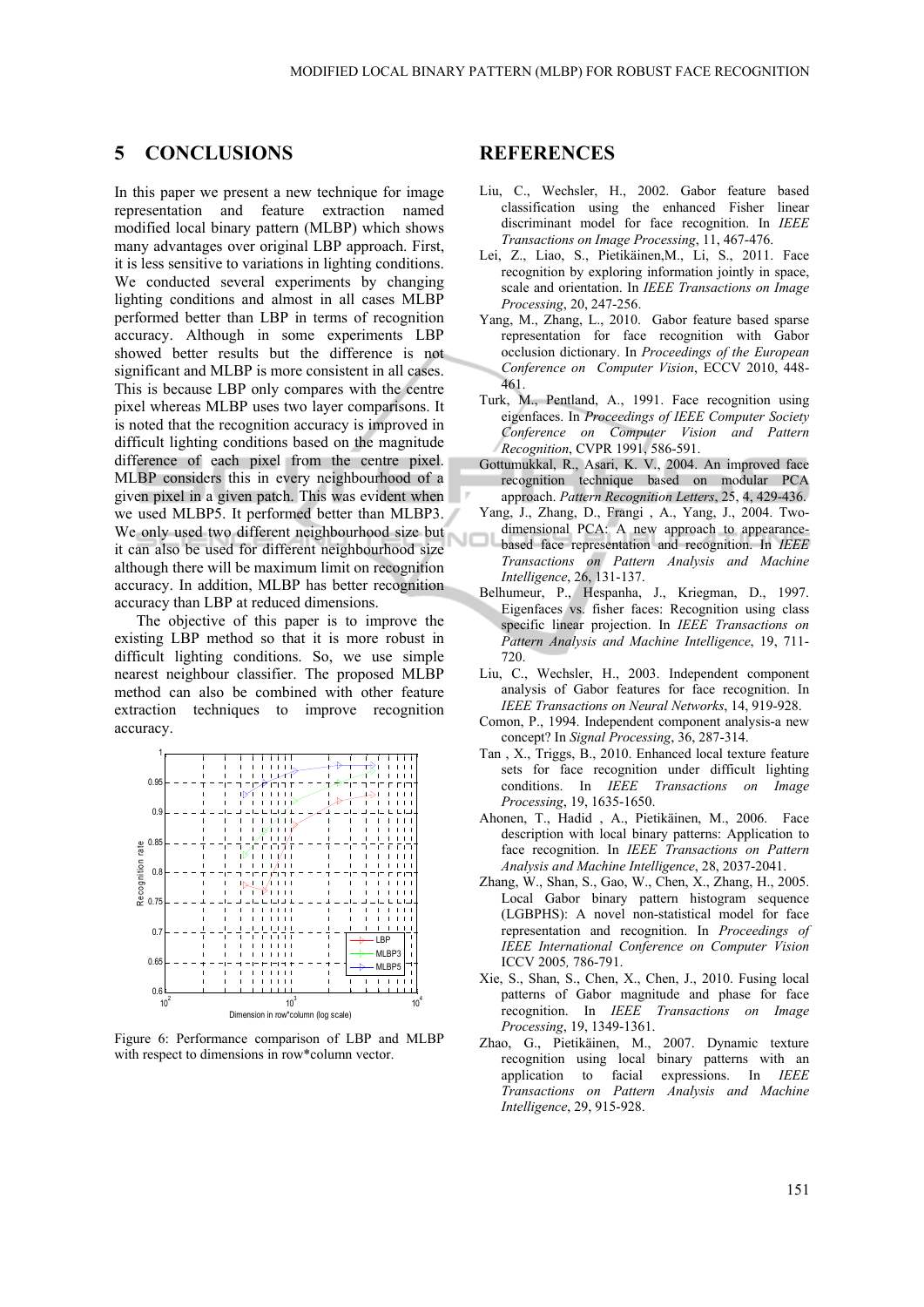### **5 CONCLUSIONS**

In this paper we present a new technique for image representation and feature extraction named modified local binary pattern (MLBP) which shows many advantages over original LBP approach. First, it is less sensitive to variations in lighting conditions. We conducted several experiments by changing lighting conditions and almost in all cases MLBP performed better than LBP in terms of recognition accuracy. Although in some experiments LBP showed better results but the difference is not significant and MLBP is more consistent in all cases. This is because LBP only compares with the centre pixel whereas MLBP uses two layer comparisons. It is noted that the recognition accuracy is improved in difficult lighting conditions based on the magnitude difference of each pixel from the centre pixel. MLBP considers this in every neighbourhood of a given pixel in a given patch. This was evident when we used MLBP5. It performed better than MLBP3. We only used two different neighbourhood size but it can also be used for different neighbourhood size although there will be maximum limit on recognition accuracy. In addition, MLBP has better recognition accuracy than LBP at reduced dimensions.

The objective of this paper is to improve the existing LBP method so that it is more robust in difficult lighting conditions. So, we use simple nearest neighbour classifier. The proposed MLBP method can also be combined with other feature extraction techniques to improve recognition accuracy.



Figure 6: Performance comparison of LBP and MLBP with respect to dimensions in row\*column vector.

#### **REFERENCES**

- Liu, C., Wechsler, H., 2002. Gabor feature based classification using the enhanced Fisher linear discriminant model for face recognition. In *IEEE Transactions on Image Processing*, 11, 467-476.
- Lei, Z., Liao, S., Pietikäinen,M., Li, S., 2011. Face recognition by exploring information jointly in space, scale and orientation. In *IEEE Transactions on Image Processing*, 20, 247-256.
- Yang, M., Zhang, L., 2010. Gabor feature based sparse representation for face recognition with Gabor occlusion dictionary. In *Proceedings of the European Conference on Computer Vision*, ECCV 2010, 448- 461.
- Turk, M., Pentland, A., 1991. Face recognition using eigenfaces. In *Proceedings of IEEE Computer Society Conference on Computer Vision and Pattern Recognition*, CVPR 1991, 586-591.
- Gottumukkal, R., Asari, K. V., 2004. An improved face recognition technique based on modular PCA approach. *Pattern Recognition Letters*, 25, 4, 429-436.
- Yang, J., Zhang, D., Frangi , A., Yang, J., 2004. Twodimensional PCA: A new approach to appearance-
- based face representation and recognition. In *IEEE Transactions on Pattern Analysis and Machine Intelligence*, 26, 131-137.
- Belhumeur, P., Hespanha, J., Kriegman, D., 1997. Eigenfaces vs. fisher faces: Recognition using class specific linear projection. In *IEEE Transactions on Pattern Analysis and Machine Intelligence*, 19, 711- 720.
- Liu, C., Wechsler, H., 2003. Independent component analysis of Gabor features for face recognition. In *IEEE Transactions on Neural Networks*, 14, 919-928.
- Comon, P., 1994. Independent component analysis-a new concept? In *Signal Processing*, 36, 287-314.
- Tan , X., Triggs, B., 2010. Enhanced local texture feature sets for face recognition under difficult lighting conditions. In *IEEE Transactions on Image Processing*, 19, 1635-1650.
- Ahonen, T., Hadid , A., Pietikäinen, M., 2006. Face description with local binary patterns: Application to face recognition. In *IEEE Transactions on Pattern Analysis and Machine Intelligence*, 28, 2037-2041.
- Zhang, W., Shan, S., Gao, W., Chen, X., Zhang, H., 2005. Local Gabor binary pattern histogram sequence (LGBPHS): A novel non-statistical model for face representation and recognition. In *Proceedings of IEEE International Conference on Computer Vision* ICCV 2005*,* 786-791.
- Xie, S., Shan, S., Chen, X., Chen, J., 2010. Fusing local patterns of Gabor magnitude and phase for face recognition. In *IEEE Transactions on Image Processing*, 19, 1349-1361.
- Zhao, G., Pietikäinen, M., 2007. Dynamic texture recognition using local binary patterns with an application to facial expressions. In *IEEE Transactions on Pattern Analysis and Machine Intelligence*, 29, 915-928.